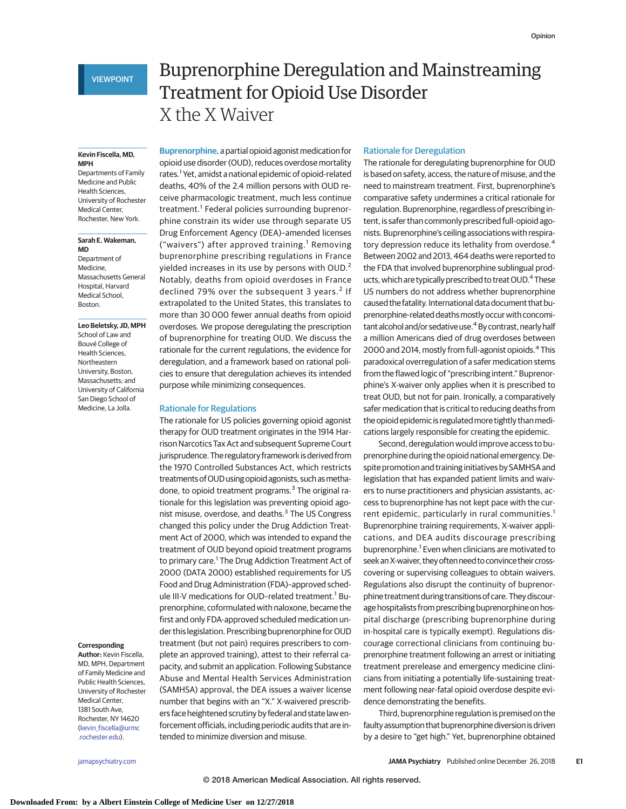#### **Kevin Fiscella, MD, MPH**

Departments of Family Medicine and Public Health Sciences, University of Rochester Medical Center, Rochester, New York.

#### **Sarah E. Wakeman, MD**

Department of Medicine, Massachusetts General Hospital, Harvard Medical School, Boston.

### **Leo Beletsky, JD, MPH**

School of Law and Bouvé College of Health Sciences, Northeastern University, Boston, Massachusetts; and University of California San Diego School of Medicine, La Jolla.

#### **Corresponding**

**Author:** Kevin Fiscella, MD, MPH, Department of Family Medicine and Public Health Sciences, University of Rochester Medical Center, 1381 South Ave, Rochester, NY 14620 [\(kevin\\_fiscella@urmc](mailto:kevin_fiscella@urmc.rochester.edu) [.rochester.edu\)](mailto:kevin_fiscella@urmc.rochester.edu).

# Buprenorphine Deregulation and Mainstreaming Treatment for Opioid Use Disorder X the X Waiver

**Buprenorphine,** a partial opioid agonist medication for opioid use disorder (OUD), reduces overdose mortality rates.<sup>1</sup> Yet, amidst a national epidemic of opioid-related deaths, 40% of the 2.4 million persons with OUD receive pharmacologic treatment, much less continue treatment.<sup>1</sup> Federal policies surrounding buprenorphine constrain its wider use through separate US Drug Enforcement Agency (DEA)–amended licenses ("waivers") after approved training.<sup>1</sup> Removing buprenorphine prescribing regulations in France yielded increases in its use by persons with OUD.<sup>2</sup> Notably, deaths from opioid overdoses in France declined 79% over the subsequent 3 years.<sup>2</sup> If extrapolated to the United States, this translates to more than 30 000 fewer annual deaths from opioid overdoses. We propose deregulating the prescription of buprenorphine for treating OUD. We discuss the rationale for the current regulations, the evidence for deregulation, and a framework based on rational policies to ensure that deregulation achieves its intended purpose while minimizing consequences.

# Rationale for Regulations

The rationale for US policies governing opioid agonist therapy for OUD treatment originates in the 1914 Harrison Narcotics Tax Act and subsequent Supreme Court jurisprudence. The regulatory framework is derived from the 1970 Controlled Substances Act, which restricts treatments of OUD using opioid agonists, such as methadone, to opioid treatment programs.<sup>3</sup> The original rationale for this legislation was preventing opioid agonist misuse, overdose, and deaths.<sup>3</sup> The US Congress changed this policy under the Drug Addiction Treatment Act of 2000, which was intended to expand the treatment of OUD beyond opioid treatment programs to primary care.<sup>1</sup> The Drug Addiction Treatment Act of 2000 (DATA 2000) established requirements for US Food and Drug Administration (FDA)–approved schedule III-V medications for OUD-related treatment.<sup>1</sup> Buprenorphine, coformulated with naloxone, became the first and only FDA-approved scheduled medication under this legislation. Prescribing buprenorphine for OUD treatment (but not pain) requires prescribers to complete an approved training), attest to their referral capacity, and submit an application. Following Substance Abuse and Mental Health Services Administration (SAMHSA) approval, the DEA issues a waiver license number that begins with an "X." X-waivered prescribers face heightened scrutiny by federal and state law enforcement officials, including periodic audits that are intended to minimize diversion and misuse.

# Rationale for Deregulation

The rationale for deregulating buprenorphine for OUD is based on safety, access, the nature of misuse, and the need to mainstream treatment. First, buprenorphine's comparative safety undermines a critical rationale for regulation. Buprenorphine, regardless of prescribing intent, is safer than commonly prescribed full-opioid agonists. Buprenorphine's ceiling associations with respiratory depression reduce its lethality from overdose.<sup>4</sup> Between 2002 and 2013, 464 deaths were reported to the FDA that involved buprenorphine sublingual products, which are typically prescribed to treat OUD.<sup>4</sup> These US numbers do not address whether buprenorphine caused the fatality. International data document that buprenorphine-related deaths mostly occur with concomitant alcohol and/or sedative use.<sup>4</sup> By contrast, nearly half a million Americans died of drug overdoses between 2000 and 2014, mostly from full-agonist opioids.<sup>4</sup> This paradoxical overregulation of a safer medication stems from the flawed logic of "prescribing intent." Buprenorphine's X-waiver only applies when it is prescribed to treat OUD, but not for pain. Ironically, a comparatively safer medication that is critical to reducing deaths from the opioid epidemic is regulated more tightly than medications largely responsible for creating the epidemic.

Second, deregulation would improve access to buprenorphine during the opioid national emergency. Despite promotion and training initiatives by SAMHSA and legislation that has expanded patient limits and waivers to nurse practitioners and physician assistants, access to buprenorphine has not kept pace with the current epidemic, particularly in rural communities.<sup>1</sup> Buprenorphine training requirements, X-waiver applications, and DEA audits discourage prescribing buprenorphine.<sup>1</sup> Even when clinicians are motivated to seekanX-waiver, they often need to convince their crosscovering or supervising colleagues to obtain waivers. Regulations also disrupt the continuity of buprenorphine treatment during transitions of care. They discourage hospitalists from prescribing buprenorphine on hospital discharge (prescribing buprenorphine during in-hospital care is typically exempt). Regulations discourage correctional clinicians from continuing buprenorphine treatment following an arrest or initiating treatment prerelease and emergency medicine clinicians from initiating a potentially life-sustaining treatment following near-fatal opioid overdose despite evidence demonstrating the benefits.

Third, buprenorphine regulation is premised on the faulty assumption that buprenorphine diversion is driven by a desire to "get high." Yet, buprenorphine obtained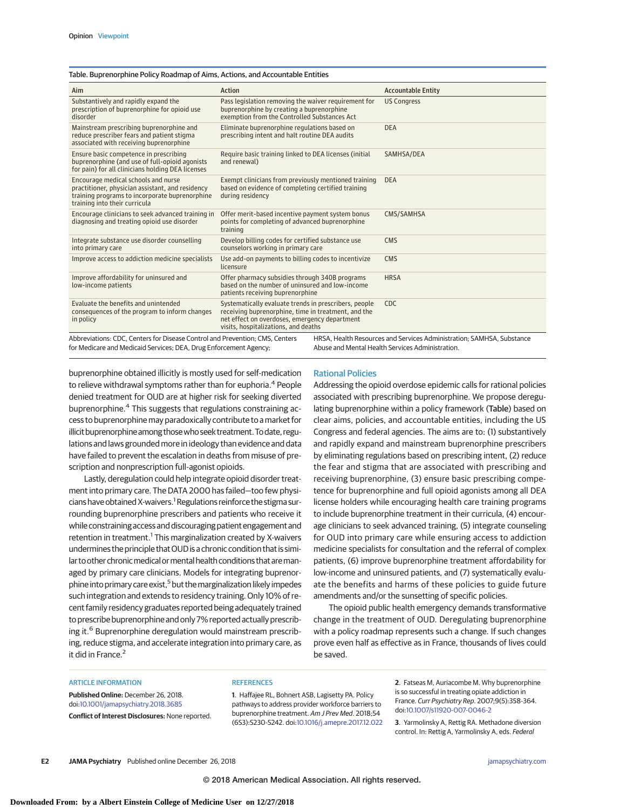## Table. Buprenorphine Policy Roadmap of Aims, Actions, and Accountable Entities

| Aim                                                                                                                                                                                                                                                                            | Action                                                                                                                                                                                                | <b>Accountable Entity</b> |
|--------------------------------------------------------------------------------------------------------------------------------------------------------------------------------------------------------------------------------------------------------------------------------|-------------------------------------------------------------------------------------------------------------------------------------------------------------------------------------------------------|---------------------------|
| Substantively and rapidly expand the<br>prescription of buprenorphine for opioid use<br>disorder                                                                                                                                                                               | Pass legislation removing the waiver requirement for<br>buprenorphine by creating a buprenorphine<br>exemption from the Controlled Substances Act                                                     | <b>US Congress</b>        |
| Mainstream prescribing buprenorphine and<br>reduce prescriber fears and patient stigma<br>associated with receiving buprenorphine                                                                                                                                              | Eliminate buprenorphine regulations based on<br>prescribing intent and halt routine DEA audits                                                                                                        | <b>DEA</b>                |
| Ensure basic competence in prescribing<br>buprenorphine (and use of full-opioid agonists<br>for pain) for all clinicians holding DEA licenses                                                                                                                                  | Require basic training linked to DEA licenses (initial<br>and renewal)                                                                                                                                | SAMHSA/DEA                |
| Encourage medical schools and nurse<br>practitioner, physician assistant, and residency<br>training programs to incorporate buprenorphine<br>training into their curricula                                                                                                     | Exempt clinicians from previously mentioned training<br>based on evidence of completing certified training<br>during residency                                                                        | <b>DEA</b>                |
| Encourage clinicians to seek advanced training in<br>diagnosing and treating opioid use disorder                                                                                                                                                                               | Offer merit-based incentive payment system bonus<br>points for completing of advanced buprenorphine<br>training                                                                                       | CMS/SAMHSA                |
| Integrate substance use disorder counselling<br>into primary care                                                                                                                                                                                                              | Develop billing codes for certified substance use<br>counselors working in primary care                                                                                                               | <b>CMS</b>                |
| Improve access to addiction medicine specialists                                                                                                                                                                                                                               | Use add-on payments to billing codes to incentivize<br>licensure                                                                                                                                      | <b>CMS</b>                |
| Improve affordability for uninsured and<br>low-income patients                                                                                                                                                                                                                 | Offer pharmacy subsidies through 340B programs<br>based on the number of uninsured and low-income<br>patients receiving buprenorphine                                                                 | <b>HRSA</b>               |
| Evaluate the benefits and unintended<br>consequences of the program to inform changes<br>in policy                                                                                                                                                                             | Systematically evaluate trends in prescribers, people<br>receiving buprenorphine, time in treatment, and the<br>net effect on overdoses, emergency department<br>visits, hospitalizations, and deaths | <b>CDC</b>                |
| Abbreviations: CDC, Centers for Disease Control and Prevention; CMS, Centers<br>HRSA, Health Resources and Services Administration; SAMHSA, Substance<br>for Medicare and Medicaid Services; DEA, Drug Enforcement Agency;<br>Abuse and Mental Health Services Administration. |                                                                                                                                                                                                       |                           |
|                                                                                                                                                                                                                                                                                |                                                                                                                                                                                                       |                           |

buprenorphine obtained illicitly is mostly used for self-medication to relieve withdrawal symptoms rather than for euphoria.<sup>4</sup> People denied treatment for OUD are at higher risk for seeking diverted buprenorphine.<sup>4</sup> This suggests that regulations constraining access to buprenorphine may paradoxically contribute to a market for illicit buprenorphine among those who seek treatment. To date, regulations and laws grounded more in ideology than evidence and data have failed to prevent the escalation in deaths from misuse of prescription and nonprescription full-agonist opioids.

Lastly, deregulation could help integrate opioid disorder treatment into primary care. The DATA 2000 has failed—too few physicians have obtained X-waivers.<sup>1</sup> Regulations reinforce the stigma surrounding buprenorphine prescribers and patients who receive it while constraining access and discouraging patient engagement and retention in treatment.<sup>1</sup> This marginalization created by X-waivers undermines the principle that OUD is a chronic condition that is similar to other chronic medical or mental health conditions that are managed by primary care clinicians. Models for integrating buprenorphine into primary care exist,<sup>5</sup> but the marginalization likely impedes such integration and extends to residency training. Only 10% of recent family residency graduates reported being adequately trained to prescribe buprenorphine and only 7% reported actually prescribing it.<sup>6</sup> Buprenorphine deregulation would mainstream prescribing, reduce stigma, and accelerate integration into primary care, as it did in France.<sup>2</sup>

# Rational Policies

Addressing the opioid overdose epidemic calls for rational policies associated with prescribing buprenorphine. We propose deregulating buprenorphine within a policy framework (Table) based on clear aims, policies, and accountable entities, including the US Congress and federal agencies. The aims are to: (1) substantively and rapidly expand and mainstream buprenorphine prescribers by eliminating regulations based on prescribing intent, (2) reduce the fear and stigma that are associated with prescribing and receiving buprenorphine, (3) ensure basic prescribing competence for buprenorphine and full opioid agonists among all DEA license holders while encouraging health care training programs to include buprenorphine treatment in their curricula, (4) encourage clinicians to seek advanced training, (5) integrate counseling for OUD into primary care while ensuring access to addiction medicine specialists for consultation and the referral of complex patients, (6) improve buprenorphine treatment affordability for low-income and uninsured patients, and (7) systematically evaluate the benefits and harms of these policies to guide future amendments and/or the sunsetting of specific policies.

The opioid public health emergency demands transformative change in the treatment of OUD. Deregulating buprenorphine with a policy roadmap represents such a change. If such changes prove even half as effective as in France, thousands of lives could be saved.

#### ARTICLE INFORMATION

**Published Online:** December 26, 2018. doi[:10.1001/jamapsychiatry.2018.3685](https://jama.jamanetwork.com/article.aspx?doi=10.1001/jamapsychiatry.2018.3685&utm_campaign=articlePDF%26utm_medium=articlePDFlink%26utm_source=articlePDF%26utm_content=jamapsychiatry.2018.3685) **Conflict of Interest Disclosures:** None reported.

# **REFERENCES**

**1**. Haffajee RL, Bohnert ASB, Lagisetty PA. Policy pathways to address provider workforce barriers to buprenorphine treatment. Am J Prev Med. 2018;54 (6S3):S230-S242. doi[:10.1016/j.amepre.2017.12.022](https://dx.doi.org/10.1016/j.amepre.2017.12.022) **2**. Fatseas M, Auriacombe M. Why buprenorphine is so successful in treating opiate addiction in France. Curr Psychiatry Rep. 2007;9(5):358-364. doi[:10.1007/s11920-007-0046-2](https://dx.doi.org/10.1007/s11920-007-0046-2)

**3**. Yarmolinsky A, Rettig RA. Methadone diversion control. In: Rettig A, Yarmolinsky A, eds. Federal